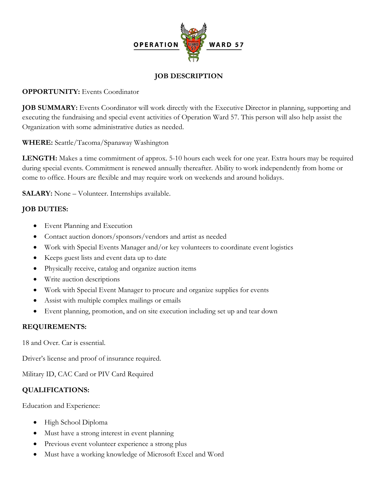

### **JOB DESCRIPTION**

### **OPPORTUNITY:** Events Coordinator

**JOB SUMMARY:** Events Coordinator will work directly with the Executive Director in planning, supporting and executing the fundraising and special event activities of Operation Ward 57. This person will also help assist the Organization with some administrative duties as needed.

**WHERE:** Seattle/Tacoma/Spanaway Washington

**LENGTH:** Makes a time commitment of approx. 5-10 hours each week for one year. Extra hours may be required during special events. Commitment is renewed annually thereafter. Ability to work independently from home or come to office. Hours are flexible and may require work on weekends and around holidays.

**SALARY:** None – Volunteer. Internships available.

## **JOB DUTIES:**

- Event Planning and Execution
- Contact auction donors/sponsors/vendors and artist as needed
- Work with Special Events Manager and/or key volunteers to coordinate event logistics
- Keeps guest lists and event data up to date
- Physically receive, catalog and organize auction items
- Write auction descriptions
- Work with Special Event Manager to procure and organize supplies for events
- Assist with multiple complex mailings or emails
- Event planning, promotion, and on site execution including set up and tear down

#### **REQUIREMENTS:**

18 and Over. Car is essential.

Driver's license and proof of insurance required.

Military ID, CAC Card or PIV Card Required

## **QUALIFICATIONS:**

Education and Experience:

- High School Diploma
- Must have a strong interest in event planning
- Previous event volunteer experience a strong plus
- Must have a working knowledge of Microsoft Excel and Word